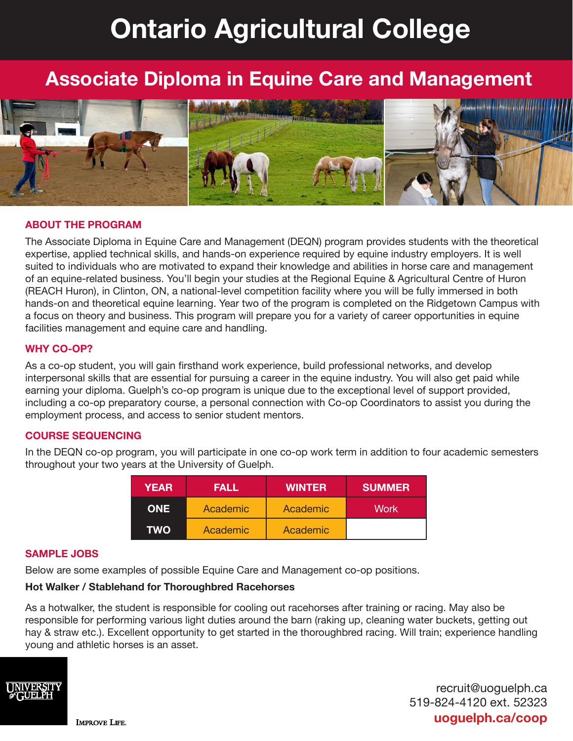# **Ontario Agricultural College**

## **Associate Diploma in Equine Care and Management**



#### **ABOUT THE PROGRAM**

The Associate Diploma in Equine Care and Management (DEQN) program provides students with the theoretical expertise, applied technical skills, and hands-on experience required by equine industry employers. It is well suited to individuals who are motivated to expand their knowledge and abilities in horse care and management of an equine-related business. You'll begin your studies at the Regional Equine & Agricultural Centre of Huron (REACH Huron), in Clinton, ON, a national-level competition facility where you will be fully immersed in both hands-on and theoretical equine learning. Year two of the program is completed on the Ridgetown Campus with a focus on theory and business. This program will prepare you for a variety of career opportunities in equine facilities management and equine care and handling.

#### **WHY CO-OP?**

As a co-op student, you will gain firsthand work experience, build professional networks, and develop interpersonal skills that are essential for pursuing a career in the equine industry. You will also get paid while earning your diploma. Guelph's co-op program is unique due to the exceptional level of support provided, including a co-op preparatory course, a personal connection with Co-op Coordinators to assist you during the employment process, and access to senior student mentors.

#### **COURSE SEQUENCING**

In the DEQN co-op program, you will participate in one co-op work term in addition to four academic semesters throughout your two years at the University of Guelph.

| <b>YEAR</b> | <b>FALL</b> | <b>WINTER</b> | <b>SUMMER</b> |
|-------------|-------------|---------------|---------------|
| ONE .       | Academic    | Academic      | Work          |
| TWO         | Academic    | Academic      |               |

#### **SAMPLE JOBS**

Below are some examples of possible Equine Care and Management co-op positions.

#### **Hot Walker / Stablehand for Thoroughbred Racehorses**

As a hotwalker, the student is responsible for cooling out racehorses after training or racing. May also be responsible for performing various light duties around the barn (raking up, cleaning water buckets, getting out hay & straw etc.). Excellent opportunity to get started in the thoroughbred racing. Will train; experience handling young and athletic horses is an asset.



recruit@uoguelph.ca 519-824-4120 ext. 52323 **uoguelph.ca/coop**